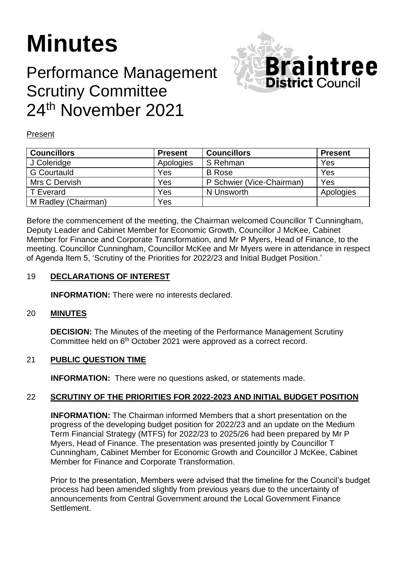# **Minutes**

# Performance Management Scrutiny Committee 24th November 2021



**Present** 

| <b>Councillors</b>  | <b>Present</b> | <b>Councillors</b>        | <b>Present</b> |
|---------------------|----------------|---------------------------|----------------|
| J Coleridge         | Apologies      | S Rehman                  | Yes            |
| <b>G</b> Courtauld  | Yes            | <b>B</b> Rose             | Yes            |
| Mrs C Dervish       | Yes            | P Schwier (Vice-Chairman) | Yes            |
| <b>T</b> Everard    | Yes            | N Unsworth                | Apologies      |
| M Radley (Chairman) | Yes            |                           |                |

Before the commencement of the meeting, the Chairman welcomed Councillor T Cunningham, Deputy Leader and Cabinet Member for Economic Growth, Councillor J McKee, Cabinet Member for Finance and Corporate Transformation, and Mr P Myers, Head of Finance, to the meeting. Councillor Cunningham, Councillor McKee and Mr Myers were in attendance in respect of Agenda Item 5, 'Scrutiny of the Priorities for 2022/23 and Initial Budget Position.'

### 19 **DECLARATIONS OF INTEREST**

**INFORMATION:** There were no interests declared.

#### 20 **MINUTES**

**DECISION:** The Minutes of the meeting of the Performance Management Scrutiny Committee held on 6<sup>th</sup> October 2021 were approved as a correct record.

#### 21 **PUBLIC QUESTION TIME**

**INFORMATION:** There were no questions asked, or statements made.

## 22 **SCRUTINY OF THE PRIORITIES FOR 2022-2023 AND INITIAL BUDGET POSITION**

**INFORMATION:** The Chairman informed Members that a short presentation on the progress of the developing budget position for 2022/23 and an update on the Medium Term Financial Strategy (MTFS) for 2022/23 to 2025/26 had been prepared by Mr P Myers, Head of Finance. The presentation was presented jointly by Councillor T Cunningham, Cabinet Member for Economic Growth and Councillor J McKee, Cabinet Member for Finance and Corporate Transformation.

Prior to the presentation, Members were advised that the timeline for the Council's budget process had been amended slightly from previous years due to the uncertainty of announcements from Central Government around the Local Government Finance Settlement.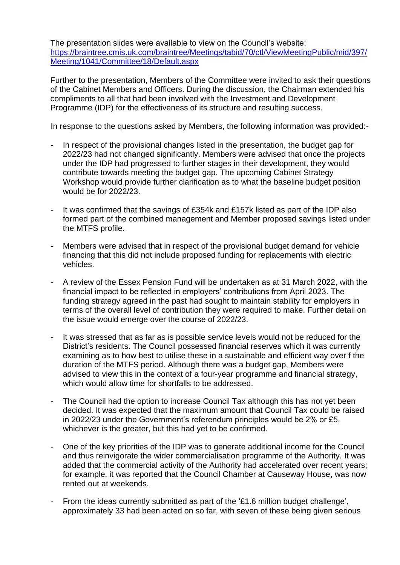The presentation slides were available to view on the Council's website: [https://braintree.cmis.uk.com/braintree/Meetings/tabid/70/ctl/ViewMeetingPublic/mid/397/](https://braintree.cmis.uk.com/braintree/Meetings/tabid/70/ctl/ViewMeetingPublic/mid/397/Meeting/1041/Committee/18/Default.aspx) [Meeting/1041/Committee/18/Default.aspx](https://braintree.cmis.uk.com/braintree/Meetings/tabid/70/ctl/ViewMeetingPublic/mid/397/Meeting/1041/Committee/18/Default.aspx)

Further to the presentation, Members of the Committee were invited to ask their questions of the Cabinet Members and Officers. During the discussion, the Chairman extended his compliments to all that had been involved with the Investment and Development Programme (IDP) for the effectiveness of its structure and resulting success.

In response to the questions asked by Members, the following information was provided:-

- In respect of the provisional changes listed in the presentation, the budget gap for 2022/23 had not changed significantly. Members were advised that once the projects under the IDP had progressed to further stages in their development, they would contribute towards meeting the budget gap. The upcoming Cabinet Strategy Workshop would provide further clarification as to what the baseline budget position would be for 2022/23.
- It was confirmed that the savings of £354k and £157k listed as part of the IDP also formed part of the combined management and Member proposed savings listed under the MTFS profile.
- Members were advised that in respect of the provisional budget demand for vehicle financing that this did not include proposed funding for replacements with electric vehicles.
- A review of the Essex Pension Fund will be undertaken as at 31 March 2022, with the financial impact to be reflected in employers' contributions from April 2023. The funding strategy agreed in the past had sought to maintain stability for employers in terms of the overall level of contribution they were required to make. Further detail on the issue would emerge over the course of 2022/23.
- It was stressed that as far as is possible service levels would not be reduced for the District's residents. The Council possessed financial reserves which it was currently examining as to how best to utilise these in a sustainable and efficient way over f the duration of the MTFS period. Although there was a budget gap, Members were advised to view this in the context of a four-year programme and financial strategy, which would allow time for shortfalls to be addressed.
- The Council had the option to increase Council Tax although this has not yet been decided. It was expected that the maximum amount that Council Tax could be raised in 2022/23 under the Government's referendum principles would be 2% or £5, whichever is the greater, but this had yet to be confirmed.
- One of the key priorities of the IDP was to generate additional income for the Council and thus reinvigorate the wider commercialisation programme of the Authority. It was added that the commercial activity of the Authority had accelerated over recent years; for example, it was reported that the Council Chamber at Causeway House, was now rented out at weekends.
- From the ideas currently submitted as part of the '£1.6 million budget challenge', approximately 33 had been acted on so far, with seven of these being given serious